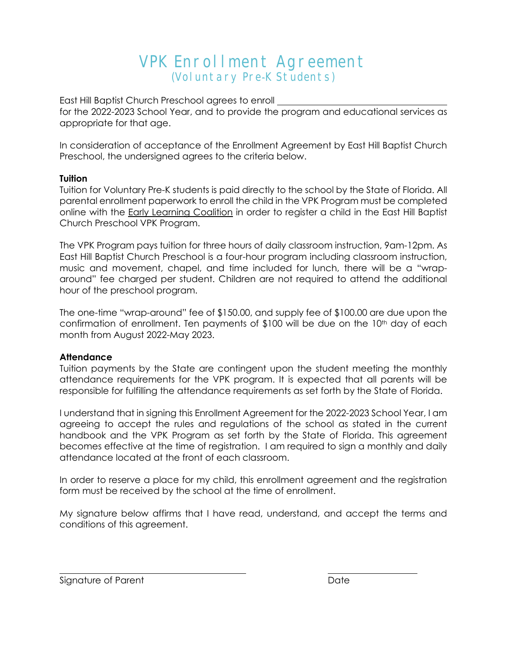# VPK Enrollment Agreement (Voluntary Pre-K Students)

East Hill Baptist Church Preschool agrees to enroll for the 2022-2023 School Year, and to provide the program and educational services as appropriate for that age.

In consideration of acceptance of the Enrollment Agreement by East Hill Baptist Church Preschool, the undersigned agrees to the criteria below.

#### **Tuition**

Tuition for Voluntary Pre-K students is paid directly to the school by the State of Florida. All parental enrollment paperwork to enroll the child in the VPK Program must be completed online with the Early Learning Coalition in order to register a child in the East Hill Baptist Church Preschool VPK Program.

The VPK Program pays tuition for three hours of daily classroom instruction, 9am-12pm. As East Hill Baptist Church Preschool is a four-hour program including classroom instruction, music and movement, chapel, and time included for lunch, there will be a "wraparound" fee charged per student. Children are not required to attend the additional hour of the preschool program.

The one-time "wrap-around" fee of \$150.00, and supply fee of \$100.00 are due upon the confirmation of enrollment. Ten payments of \$100 will be due on the 10th day of each month from August 2022-May 2023.

#### **Attendance**

Tuition payments by the State are contingent upon the student meeting the monthly attendance requirements for the VPK program. It is expected that all parents will be responsible for fulfilling the attendance requirements as set forth by the State of Florida.

I understand that in signing this Enrollment Agreement for the 2022-2023 School Year, I am agreeing to accept the rules and regulations of the school as stated in the current handbook and the VPK Program as set forth by the State of Florida. This agreement becomes effective at the time of registration. I am required to sign a monthly and daily attendance located at the front of each classroom.

In order to reserve a place for my child, this enrollment agreement and the registration form must be received by the school at the time of enrollment.

My signature below affirms that I have read, understand, and accept the terms and conditions of this agreement.

Signature of Parent Date Date Date Date